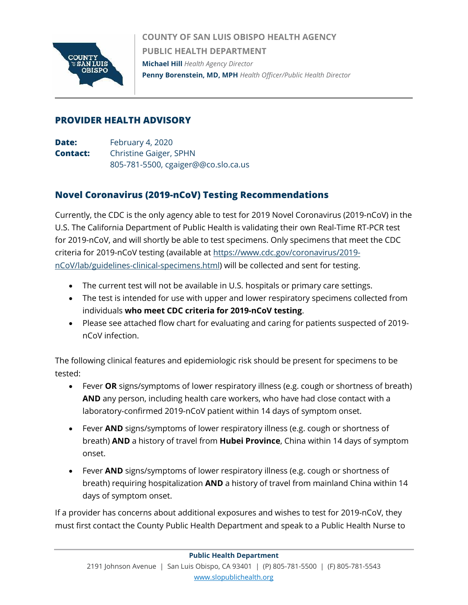

**COUNTY OF SAN LUIS OBISPO HEALTH AGENCY PUBLIC HEALTH DEPARTMENT Michael Hill** *Health Agency Director* **Penny Borenstein, MD, MPH** *Health Officer/Public Health Director*

## **PROVIDER HEALTH ADVISORY**

**Date:** February 4, 2020 **Contact:** Christine Gaiger, SPHN 805-781-5500, cgaiger@@co.slo.ca.us

## **Novel Coronavirus (2019-nCoV) Testing Recommendations**

Currently, the CDC is the only agency able to test for 2019 Novel Coronavirus (2019-nCoV) in the U.S. The California Department of Public Health is validating their own Real-Time RT-PCR test for 2019-nCoV, and will shortly be able to test specimens. Only specimens that meet the CDC criteria for 2019-nCoV testing (available at [https://www.cdc.gov/coronavirus/2019](https://www.cdc.gov/coronavirus/2019-nCoV/lab/guidelines-clinical-specimens.html) [nCoV/lab/guidelines-clinical-specimens.html\)](https://www.cdc.gov/coronavirus/2019-nCoV/lab/guidelines-clinical-specimens.html) will be collected and sent for testing.

- The current test will not be available in U.S. hospitals or primary care settings.
- The test is intended for use with upper and lower respiratory specimens collected from individuals **who meet CDC criteria for 2019-nCoV testing**.
- Please see attached flow chart for evaluating and caring for patients suspected of 2019 nCoV infection.

The following clinical features and epidemiologic risk should be present for specimens to be tested:

- Fever **OR** signs/symptoms of lower respiratory illness (e.g. cough or shortness of breath) **AND** any person, including health care workers, who have had close contact with a laboratory-confirmed 2019-nCoV patient within 14 days of symptom onset.
- Fever **AND** signs/symptoms of lower respiratory illness (e.g. cough or shortness of breath) **AND** a history of travel from **Hubei Province**, China within 14 days of symptom onset.
- Fever **AND** signs/symptoms of lower respiratory illness (e.g. cough or shortness of breath) requiring hospitalization **AND** a history of travel from mainland China within 14 days of symptom onset.

If a provider has concerns about additional exposures and wishes to test for 2019-nCoV, they must first contact the County Public Health Department and speak to a Public Health Nurse to